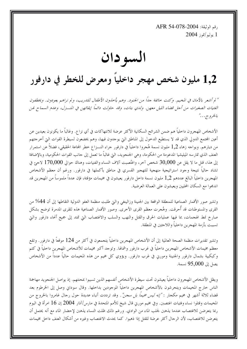, قم الوثيقة: AFR 54-078-2004 2004 پوليو/تموز  $1$ 

السو دان

# 1,2 مليون شخص مهجر داخلياً ومعرض للخطر في دارفور

" لم أشعر بالأمان في المخيم. وكنت حائفة جلاً من الجنود. وهم يأخذون الأطفال للتدريب، ولم نراهم يعودون. ويخطفون الفتيات الصغيرات من أجل قضاء الليل معهن. وللدي بنات، وقد حاولت دائمهاً إبقائهن في المنسزل، وعدم السماح لهن بالخرو ہے. . ."

الأشخاص المهجرون داخلياً هم ضمن الشرائح السكانية الأكثر عرضة للانتهاكات في أي نزاع. وغالباً ما يكونون بعيدين عن أعين المجتمع الدولي الذي قد لا يستطيع الدحول إلى المناطق التي يوحدون فيها، وهم يخضعون لسيطرة القوات التي أحرحتهم من ديارهم. ويواجه زهاء 1٫2 مليون نسمة هُجروا داخلياً في دارفور جراء النـــزاع خطر المحاعة الحقيقي، فضلاً عن استمرار العنف الذي تمارسه الميليشيا المدعومة من الحكومة، وهي الجنجويد، التي غالباً ما تعمل إلى حانب القوات الحكومية، وبالإضافة إلى هذا، قتل ما لا يقل عن 30,000 شخص آخر، واغتُصبت آلاف النساء والفتيات، وهناك حوالي 170,000 لاجئ في تشاد حالياً نتيجة وجود استراتيجية منهجية للتهجير القسري في مناطق بأكملها في دارفور. ورغم أن معظم الأشخاص المهجرين داخلياً البالغ عددهم 1٫2 مليون نسمة داخل دارفور يعيشون في مخيمات مؤقتة، فإن عدداً ملموساً من المهجرين قد اندمجوا مع السكان المحليين ويعيشون على العمالة العرضية.

وتشير صور الأقمار الصناعية للمنطقة الواقعة بين الجنينة وزالينغي والتي طلبت منظمة العفو الدولية التقاطها إلى أن 44% من القرى والمستوطنات قد أحرقت. وهُجرت معظم القرى الأخرى. وصور الأقمار الصناعية هذه للقرى المدمرة توضح بشكل صارخ نمط الهجمات، بما فيها عمليات الحرق والقتل والنهب والسلب والاغتصاب التي تمتد إلى جميع أنحاء دارفور والتي تسببت بأزمة المهجرين داخلياً واللاحئين في المنطقة.

وتشير تقديرات منظمة الصحة العالمية إلى أن الأشخاص المهجرين داخلياً يتجمعون في أكثر من 124 موقعاً في دارفور. وتقع معظم مخيمات الأشخاص المهجرين داحلياً في غرب دارفور وشمالها. وتوجد أكبر مخيمات للأشخاص المهجرين داحلياً في كتم وكبكبية بشمال دارفور والجنينة ومورين في غرب دارفور. ويؤوي كل مخيم من هذه المخيمات حالياً عدداً من الأشخاص يصل إلى 95,000 نسمة.

ويظل الأشخاص المهجرون داحلياً يعيشون تحت سيطرة الأشخاص أنفسهم الذين تسببوا بمحنتهم. إذ يواصل الجنجويد مهاجمة الناس خارج المخيمات ويتحرشون بالأشخاص المهجرين داخلياً الموجودين بداخلها. وقال سوداني وصل إلى الخرطوم بعد قضاء ثلاثة أشهر في مخيم مكجار : *"إنه ليس مخيماً بل سجن".* وقد ترددت أنباء عديدة حول رحال غامروا بالخروج من المخيمات وقتلوا نساء وفتيات اغتصبن. وفي مخيم مورين قال شيخ للأمم المتحدة في مارس/آذار 2004 إن 16 امرأة في اليوم ربما يتعرضن للاغتصاب عندما يذهبن لجلب الماء من الوادي. ورغم ذلك ظلت النساء يذهبن لإحضار الماء مع أنه يحتمل أن يتعرضن للاغتصاب، لأن الرحال أكثر عرضة للقتل إذا ذهبوا. كما يحدث الاغتصاب وغيره من أشكال العنف داخل مخيمات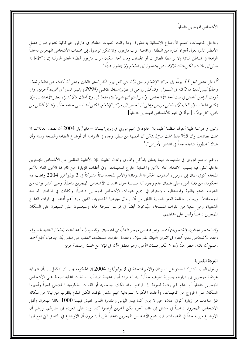الأشخاص المهجرين داخلياً.

وداخل المخيمات، تتسم الأوضاع الإنسانية بالخطورة. وما زالت كميات الطعام في دارفور غيركافية لتدوم طوال فصل الأمطار الذي يعزل أحزاء كثيرة من المنطقة، وبخاصة غرب دارفور. ولا يمكن الوصول إلى مخيمات الأشخاص المهجرين داخلياً الواقعة في المناطق النائية إلا بواسطة الطائرات أو الجمال. وقال أحد سكان غرب دارفور لمنظمة العفو الدولية إن : *"الأغذية* تصل إلى المُات، لكن هناك الآلاف ممن يحتاجون إلى الطعام ولا يتلقون شيئًا ."

"أدحل طفلي قبل 11 يوماً إلى مركز الإطعام وحتى الآن آتي كل يوم. لكن لدي طفلين وعلى أن أبحث عن الطعام لهما . وحالياً ليس لدينا ما نأكله في المنسزل. وقد قُتل زوجيي في فبراير/شباط الماضي (2004) وليس لدي أي أقرباء آحرين. وفي الوقت الراهن، أعيش في بيت أحد الأشخاص. وليس لدي أي شيء لبناء ملجأ لي. ولا أملك مالاً لشراء بعض الأعشاب. ولا يمكنني اللهاب إلى الغابة لأن طفلي مريض وعلى أن أحضر إلى مركز الإطعام. لكنني أنا نفسي جائعة حقاً. وقد لا أتمكن من *المجيء كل يوم".* [امرأة في مخيم للأشخاص المهجرين داخلياً].

وتبين في دراسة طبية أحرقما منظمة أطباء بلا حدود في مخيم مورين في إبريل/نيسان — مايو/أيار 2004 أن نصف العائلات لا تملك بطانيات وأن 5% فقط تملك منازل يمكن أن تحميها من المطر. وجاء في الدراسة أن أوضاع النظافة والصحة رديئة وأن هناك "خطورة شديدة جداً في انتشار الأمراض". <sup>1</sup>

ورغم الوضع المزري في المخيمات فيما يتعلق بالمأكل والمأوى والمؤن الطبية، فإن الأغلبية العظمى من الأشخاص المهجرين داخلياً تبقى فيه بسبب الانعدام التام للأمن والحماية خارج المخيمات. وفي أعقاب الزيارة التي قام هما الأمين العام للأمم المتحدة كوفي عنان إلى دارفور، أصدرت الحكومة السودانية والأمم المتحدة بياناً مشتركاً في 3 يوليو/تموز 2004 وافقت فيه الحكومة، من جملة أمور، على ضمان عدم وجود أية ميليشيا حول مخيمات الأشخاص المهجرين داخلياً، وعلى "نشر قوات من الشرطة تتمتع بالقوة والمصداقية والاحترام في جميع مخيمات الأشخاص المهجرين داخلياً، وكذلك في المناطق المعرضة للهجمات". ويساور منظمة العفو الدولية القلق من أن رحال ميليشيا الجنجويد، الذين ورد أفمم أُدمجوا في قوات الدفاع الشعبية، وهي شعبة من القوات المسلحة، سيُدمجون أيضاً في قوات الشرطة هذه وسيعملون على السيطرة على السكان المهجرين داخليا وليس على حمايتهم.

وقد احتجز الجناويد (الجنجويد) أحمد، وهو شخص مهجر داحليًا في غارسيلا. واقمموه بأنه أعد قائمة بقطعان الماشية المسروقة وعدد الأشخاص الذين قُتلوا في القرى المحيطة بغارسيلا. وعندما حاولت السلطات الطلب من الناس بأن يعودوا، أبلغ أحمد الجميع أن ذلك خطر جلًّا وأنه لا يمكن ضمان الأمن. وهو معتقل الآن في نيالا مع خمسة زعماء آخرين.

#### العودة القسرية

ويقول البيان المشترك الصادر عن السودان والأمم المتحدة في 3 يوليو/تموز 2004 إن الحكومة يجب أن "تكفل... بأن تتم أية عودة للمهجرين إلى ديارهم بصورة تطوعية حقاً." بيد أنه تردد أنباء عديدة تفيد أن السلطات المحلية تضغط على الأشخاص المهجرين داخلياً أو تدفع لهم رشوة للعودة إلى قراهم. وقد فكك الجنجويد أو القوات الحكومية ا لملاجئ قسراً وأحبروا السكان على الخروج من المخيمات. وأخلت الحكومة السودانية مخيم مشتل المؤقت الكبير المقام بالقرب من نيالا من سكانه قبل ساعات من زيارة كوفي عنان، حتى لا يرى كما يبدو البؤس والقذارة اللذين تعيش فيهما 1000 عائلة مهجرة. ونُقل الأشخاص المهجرون داخلياً في مشتل إلى مخيم آخر، لكن آخرين أُرغموا كما ورد على العودة إلى منازلهم. ورغم أن الأوضاع مزرية حداً في المخيمات، فإن جميع الأشخاص المهجرين داخلياً تقريباً يشعرون أن الأوضاع في المناطق التي تقع فيها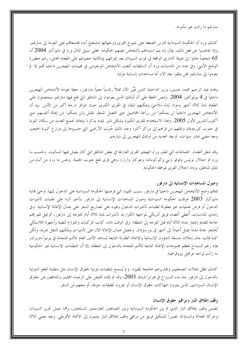منازلهم ما زالت غير مأمونة.

كذلك ورد أن الحكومة السودانية تمارس الضغط على شيوخ القرى ووجهائها لتشجيع أبناء محتمعاقمم على العودة إلى منازلهم. وإذا تقاعسوا عن فعل ذلك، يقال إنه يتم استبدالهم بأشخاص تعينهم الحكومة. فعلى سبيل المثال ورد في مايو/أيار 2004 أن 65 شخصاً عادوا إلى هبيلة كاناري الواقعة في غرب السودان بعد إغرائهم بإمكانية حصولهم على الطعام المحاني، رغم خطورة الوضع الأمني. وفي عدد من المناسبات ورد أن السلطات أبلغت الأشخاص الموجودين في مخيمات المهجرين داخلياً أفمم إذا لم يعودوا إلى منازلهم، فلن يتلقوا بعد الآن أية مساعدات إنسانية دولية.

وقدم عبد الرحيم محمد حسين، وزير الداحلية الذين عُيِّن الآن ممثلاً رئاسياً معنياً بدارفور، حطة لعودة الأشخاص المهجرين داخلياً في 4 يوليو/تموز 2004. وتنص الخطة على أن أولئك الذين يعودون إلى المناطق التي تقع فيها منازلهم سيحصلون على الطعام لمدة ثلاثة أشهر ومواد لبناء ملاحئ ويمكنهم البقاء في القرى الكبرى حيث تتوافر درجة أكبر من الأمن. بيد أن الأشخاص المهجرين داحلياً لن يتمكنوا من زراعة المحاصيل حتى الفصل الممطر المقبل ولن يتمكنوا من إعالة أنفسهم حتى أكتوبر/تشرين الأول 2005. وهذا الاستخدام للقرى الكبيرة يشكل نذير شؤم يذكرنا بإعادة تجميع العديد من سكان النوبة في حنوب كوردوفان ونقلهم من قراهم إلى مراكز أكبر؛ وعند ذلك حُولت الأراضي التي خسروها إلى مزارع كبيرة الحجم، وبعد مضى عشر سنوات، لم يعد العديد من أولئك المهجرين إلى ديارهم.

وقد شغل أعضاء الجماعات التي تقف وراء التهجير القرى الفارغة في بعض المناطق التي كان يعيش فيها المساليت. وبحسب ما ورد تم احتلال تولوس وفوفو وتني وكوكوماندا وغوكار وآرارا، وهي قرى تقع حنوب الجنينة. وبحس ما ورد من أنباء من تلك المناطق، يزداد احتلال القرى بموافقة الحكومة.

#### وصول المساعدات الإنسانية إلى دارفور

تفاقم وضع الأشخاص المهجرين داخلياً في دارفور بسبب القيود التي فرضتها الحكومة السودانية على الدحول إليها. وحتى فماية مايو/أيار 2003 عرقلت الحكومة السودانية وصول المساعدات الإنسانية إلى دارفور بتأخير الرد على طلبات تأشيرات الدخول أو فرض عمليات غير معقولة لطلبات تأشيرات الدحول وقيود على تصاريح السفر على عمال الإغاثة الإنسانية. وفي إحدى المناسبات، أُعطي أعضاء فريق أمريكي لمواجهة الكوارث تأشيرات لمدة ثلاثة أيام للتوحه إلى دارفور، ثم قيل لهم إفمم بحاجة لتقديم إشعار مدته ثلاثة أيام قبل التوجه إلى المنطقة. وفي الوقت ذاته، كانت المركبات واللوازم الطبية وأجهزة اللاسلكي تُحتَجز عادة مدداً تصل أحياناً إلى أشهر في بورسودان. ويحصل عمال الإغاثة الآن على تأشيرات ويمكنهم التنقل بحرية، ولكن كما قالت جان إجلاند منسقة الشؤون الإنسانية والإغاثة الطارئة التابعة لمساعد الأمين العام للأمم المتحدة في يونيو /حزيران، فإنه رغم السماح لمعظم مجموعات الإغاثة التابعة للأمم المتحدة بالدخول إلى المنطقة، إلا أن المنظمات الإنسانية غير الحكومية ما زالت تواحه عراقيل بيروقراطية.

كذلك تظل تنقلات الصحفيين وتقاريرهم حاضعة للقيود. ولم يُسمح لمنظمات دولية لحقوق الإنسان مثل منظمة العفو الدولية بالدخول إلى دارفور منذ بدء النـــزاع في فبراير/شباط 2003، وقد تم إلقاء القبض على الزعماء المحليين والمدافعين عن حقوق الإنسان السودانيين الذين يثيرون انتهاكات حقوق الإنسان أو يجرون تحقيقات حولها، أو منعهم من السفر .

#### وقف إطلاق النار ومراقبو حقوق الإنسان

تضمن وقف إطلاق النار الذي تم بين الحكومة السودانية وبين الجماعتين المعارضتين المسلحتين، وهما حيش تحرير السودان وحركة العدالة والمساواة، تصوراً لتشكيل فريق من مراقبي وقف إطلاق النار ينتمون إلى الاتحاد الأفريقي. وبعد مضي ثلاثة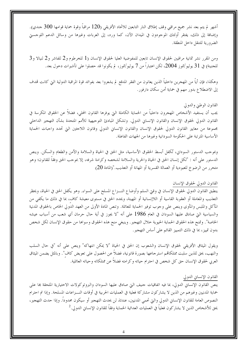أشهر لم يتم بعد نشر جميع مراقبي وقف إطلاق النار التابعين للاتحاد الأفريقي (120 مراقباً وقوة حماية قوامها 300 حندي). وإضافة إلى ذلك، يفتقر أولئك الموجودون في الميدان الآن، كما ورد، إلى العربات وغيرها من وسائل الدعم اللوجستي الضرورية للتنقل داخل المنطقة.

ومن المقرر نشر ثمانية مراقبين لحقوق الإنسان تابعين للمفوضية العليا لحقوق الإنسان (1 للخرطوم و2 للفاشر و2 لنيالا و3 للجنينة) في 31 يوليو/تموز 2004، لكن اعتباراً من 7 يوليو/تموز، لم يكونوا قد حصلوا على تأشيرات دحول بعد.

وهكذا، فإن أياً من المهجرين داخلياً الذين يعانون من الفقر المدقع لم يشعروا بعد بفوائد قوة المراقبة الدولية التي كانت تمدف إلى الاضطلاع بدورٍ مهم في حماية أمن سكان دارفورٍ.

#### القانون الوطني والدولي

يجب أن يستفيد الأشخاص المهجرون داخلياً من الحماية الكاملة التي يوفرها القانون المحلي، فضلاً عن الحقوق المكرسة في القانون الدولي لحقوق الإنسان والقانون الإنساني الدولي. وتشكل المبادئ التوحيهية للأمم المتحدة بشأن التهجير الداحلي مجموعة من معايير القانون الدولي لحقوق الإنسان والقانون الإنساني الدولي وقانون اللاحئين التي تحدد واحبات الحماية الأساسية المترتبة على الحكومة السودانية وغيرها من الجهات الفاعلة.

وبموجب الدستور السوداني، تُكفل أبسط الحقوق الأساسية، مثل الحق في الحياة والسلامة والأمن والطعام والسكن. وينص الدستور على أنه : "لكل إنسان الحق في الحياة والحرية والسلامة لشخصه وكرامة شرفه، إلا بموحب الحق وفقاً للقانون؛ وهو متحرر من الرضوخ للعبودية أو العمالة القسرية أو المهانة أو التعذيب."(المادة 20)

#### القانون الدولي لحقوق الإنسان

ينطبق القانون الدولي لحقوق الإنسان في وقتى السلم وأوضاع النـــزاع المسلح على السواء. وهو يكفل الحق في الحياة، ويحظر التعذيب والمعاملة أو العقوبة القاسية أو اللاإنسانية أو المهينة، ويحدد الحق في مستوى معيشة كاف، بما في ذلك ما يكفي من المأكل والملبس والمأوي وينص على وجوب توفير الحماية للعائلة. وتنص المادة الأولى من العهد الدولي الخاص بالحقوق المدنية والسياسية التي صادق عليها السودان في العام 1986 على أنه "لا يجوز في أية حال حرمان أي شعب من أسباب عيشه الخاصة". وتمنح هذه الحقوق الحماية الحيوية حلال التهجير. وينبغي منح هذه الحقوق وسواها من حقوق الإنسان لكل شخص بدون تمييز، بما في ذلك التمييز القائم على أساس التهجير.

ويقول الميثاق الأفريقي لحقوق الإنسان والشعوب إن الحق في الحياة "لا يمكن انتهاكه" وينص على أنه "في حال السلب والنهب، يحق للذين سلبت ممتلكاقم استرجاعها بصورة قانونية، فضلاً عن الحصول على تعويض كاف". وبالمثل يضمن الميثاق العربي لحقوق الإنسان حق كل شخص في احترام حياته وكرامته فضلاً عن ممتلكاته وحياته العائلية.

#### القانون الإنساني الدولي

ينص القانون الإنساني الدولي، بما فيه اتفاقيات جنيف التي صادق عليها السودان والبروتوكولات الاختيارية الملحقة بما على حماية المدنيين وغيرهم من الذين لا يشاركون مشاركة فعلية في العمليات الحربية في أوقات النـــزاعات المسلحة. وإذا تم احترام النصوص العامة للقانون الإنساني الدولي والتي تحمي المدنيين، عندئذ لن يحدث التهجير أو سيكون محدوداً. وإذا حدث التهجير، يحق للأشخاص الذين لا يشاركون فعلياً في العمليات العدائية الحماية وفقاً للقانون الإنساني الدولي. $^2$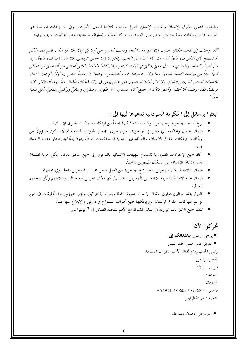والقانون الدولي لحقوق الإنسان والقانون الإنساني الدولي ملزمان كلاهما للدول الأطراف. وفي النــزاعات المسلحة غير الدولية، فإن الجماعات المسلحة، مثل جيش تحرير السودان وحركة العدالة والمساواة، ملزمة بنصوص اتفاقيات جنيف الرابعة.

"لقد وصلت إلى المخيم الكائن جنوب نيالا قبل خمسة أيام. وذهبت أنا وزوجي أولاً إلى نيالا بحثًا عن مكان نقيم فيه. ولكن لم نستطع بأي شكل بناء ملجأ لنا هناك. لذا انتقلنا إلى المخيم. ولكن ما زلنا حاليي الوفاض. فلا مال لدينا لبناء ملجأ. ولا مال لشراء الطعام. وأقمنا في منسزل عمتي/حالتي في الوقت الراهن وشار كناها طعامها. لكنني أحشبي من أن عمتي لن تتمكن قريبًا جدًا من مواصلة اقتسام طعامها معنا (كان مجموعنا خمسة أشخاص). وعلينا بناء ملجأ حاص بنا أولاً. ثم علينا انتظار المنظمات لتحضر لنا بعض الطعام. ولا مجال أمامنا للحصول على عمل يومي في نيالا . فالمكان مكتظ جلاً. وبما أن طفلي كان مريضاً، فقد مرضت أنا أيضاً. وأشعر بالألم في جميع أنحاء جسدي : في ظهري وصدري وساقيَّ وركبتَّ وقدميَّ. أنني متعبة  $\frac{1}{4}$ 

### ابعثوا برسائل إلى الحكومة السودانية تدعوها فيها إلى :

- نز ع أسلحة الجنجويد وحلها فوراً وضمان عدم تمكنها محدداً من ارتكاب انتهاكات لحقوق الإنسان؛
- ضمان اعتقال ومحاكمة أي عضوٍ في الجنجويد، سواء جرى دمجه في القوات المسلحة أم لا، يكون مسؤولاً عن ارتكاب انتهاكات لحقوق الإنسان، وفقاً للمعايير الدولية للمحاكمات العادلة بدون إمكانية إصدار عقوبة الإعدام
- اتخاذ جميع الإحراءات الضرورية للسماح للهيئات الإنسانية بالدحول إلى جميع مناطق دارفور بكل حرية لضمان تقديم الإغاثة الإنسانية إلى السكان المهجرين داخلياً.
	- ضمان سلامة السكان المهجرين داخلياً بمنع الجنجويد من العمل داخل مخيمات المهجرين داخلياً وفي محيطها؛
- ضمان عدم الإعادة القسرية للأشخاص المهجرين داخلياً إلى أي مكان تتعرض فيه حياقمم وسلامتهم و/أو صحتهم للخط ؛
- القبول بنشر مراقبين دوليين لحقوق الإنسان بصورة كاملة وبدون أية عراقيل، ويجب عليهم إجراء تحقيقات في جميع مزاعم انتهاكات حقوق الإنسان التي يرتكبها جميع أطراف النـــزاع في دارفور والإبلاغ عنها علناً.
	- تنفيذ جميع الالتزامات الواردة في البيان المشترك مع الأمم المتحدة الصادر في 3 يوليو/تموز.

## تحركوا الآن! ▶ يرجى إرسال مناشداتكم إلى : ● الفريق عمر حسن أحمد البشير رئيس الجمهورية والقائد الأعلى للقوات المسلحة القصر الرئاسي ص.ب. 281 الخرطوم السودان  $+24911776603/777583$  فاكس التحية : سيادة الرئيس

● السيد على عثمان محمد طه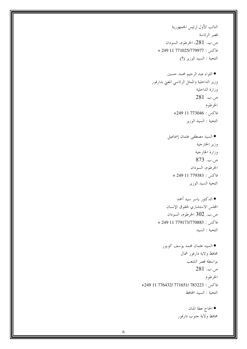النائب الأول لرئيس الجمهورية قصر الرئاسة ص.ب. 281، الخرطوم، السودان فاكس : 249 11 771025/779977 + 249 + التحية : السيد الوزير (؟) • اللواء عبد الرحيم محمد حسين وزير الداخلية والممثل الرئاسي المعنى بدارفور وزارة الداخلية  $281.$ ص.ب الخرطوم فاكس : 773046+ 249+ التحية : السيد الوزير ● السيد مصطفى عثمان إسماعيل وزير الخارجية وزارة الخارجية ص.ب. 873 الخرطوم، السودان  $+ 24911779383 :$ فاكس التحية السيد الوزير ● الدكتور ياسر سيد أحمد المحلس الاستشاري لحقوق الإنسان ص.ب. 302 الخرطوم، السودان فاكس : 249 11 779173/770883 + التحية : السيد ● السيد عثمان محمد يوسف كوبور محافظ ولاية دارفور شمال بواسطة قصر الشعب  $281.$ ص.ب الخرطوم فاكس : 783223 /171651 /176432 11 1249 +249 التحية : السيد المحافظ • الحاج عطا المنان محافظ ولاية جنوب دارفور